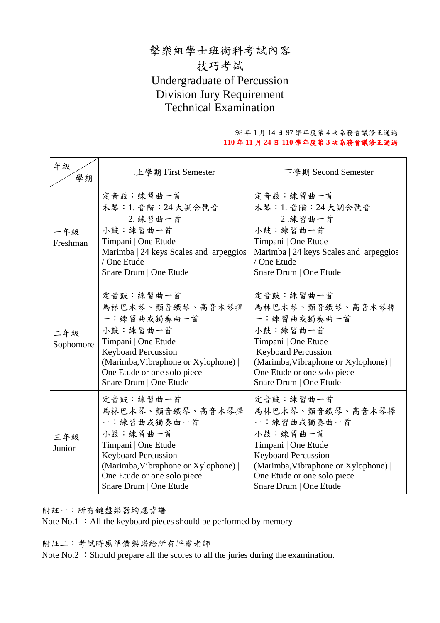## 擊樂組學士班術科考試內容 技巧考試 Undergraduate of Percussion Division Jury Requirement Technical Examination

#### 98 年 1 月 14 日 97 學年度第 4 次系務會議修正通過 **110** 年 **11** 月 **24** 日 **110** 學年度第 **3** 次系務會議修正通過

| 年級<br>學期         | 上學期 First Semester                                                                                                                                                                                             | 下學期 Second Semester                                                                                                                                                                                            |  |
|------------------|----------------------------------------------------------------------------------------------------------------------------------------------------------------------------------------------------------------|----------------------------------------------------------------------------------------------------------------------------------------------------------------------------------------------------------------|--|
| 一年級<br>Freshman  | 定音鼓:練習曲一首<br>木琴: 1. 音階: 24 大調含琶音<br>2. 練習曲一首<br>小鼓:練習曲一首<br>Timpani   One Etude<br>Marimba   24 keys Scales and arpeggios<br>/ One Etude<br>Snare Drum   One Etude                                             | 定音鼓:練習曲一首<br>木琴: 1. 音階: 24 大調含琶音<br>2.練習曲一首<br>小鼓:練習曲一首<br>Timpani   One Etude<br>Marimba   24 keys Scales and arpeggios<br>/ One Etude<br>Snare Drum   One Etude                                              |  |
| 二年級<br>Sophomore | 定音鼓:練習曲一首<br>馬林巴木琴、顫音鐵琴、高音木琴擇<br>一:練習曲或獨奏曲一首<br>小鼓:練習曲一首<br>Timpani   One Etude<br><b>Keyboard Percussion</b><br>(Marimba, Vibraphone or Xylophone)  <br>One Etude or one solo piece<br>Snare Drum   One Etude | 定音鼓:練習曲一首<br>馬林巴木琴、顫音鐵琴、高音木琴擇<br>一:練習曲或獨奏曲一首<br>小鼓:練習曲一首<br>Timpani   One Etude<br><b>Keyboard Percussion</b><br>(Marimba, Vibraphone or Xylophone)  <br>One Etude or one solo piece<br>Snare Drum   One Etude |  |
| 三年級<br>Junior    | 定音鼓:練習曲一首<br>馬林巴木琴、顫音鐵琴、高音木琴擇<br>一:練習曲或獨奏曲一首<br>小鼓:練習曲一首<br>Timpani   One Etude<br><b>Keyboard Percussion</b><br>(Marimba, Vibraphone or Xylophone)  <br>One Etude or one solo piece<br>Snare Drum   One Etude | 定音鼓:練習曲一首<br>馬林巴木琴、顫音鐵琴、高音木琴擇<br>一:練習曲或獨奏曲一首<br>小鼓:練習曲一首<br>Timpani   One Etude<br><b>Keyboard Percussion</b><br>(Marimba, Vibraphone or Xylophone)<br>One Etude or one solo piece<br>Snare Drum   One Etude   |  |

附註一:所有鍵盤樂器均應背譜

Note  $No.1$ : All the keyboard pieces should be performed by memory

附註二:考試時應準備樂譜給所有評審老師

Note  $No.2$ : Should prepare all the scores to all the juries during the examination.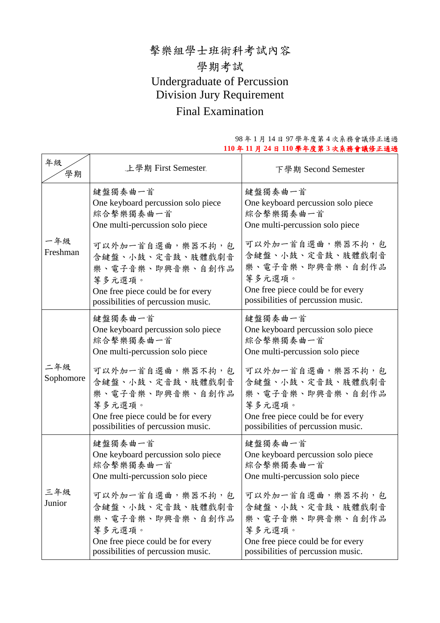## 擊樂組學士班術科考試內容 學期考試 Undergraduate of Percussion Division Jury Requirement Final Examination

| 年級<br>學期         | 上學期 First Semester.                                                                                                                           | 下學期 Second Semester                                                                                                                           |
|------------------|-----------------------------------------------------------------------------------------------------------------------------------------------|-----------------------------------------------------------------------------------------------------------------------------------------------|
| 一年級<br>Freshman  | 鍵盤獨奏曲一首<br>One keyboard percussion solo piece<br>綜合擊樂獨奏曲一首<br>One multi-percussion solo piece                                                 | 鍵盤獨奏曲一首<br>One keyboard percussion solo piece<br>綜合擊樂獨奏曲一首<br>One multi-percussion solo piece                                                 |
|                  | 可以外加一首自選曲,樂器不拘,包<br>含鍵盤、小鼓、定音鼓、肢體戲劇音<br>樂、電子音樂、即興音樂、自創作品<br>等多元選項。<br>One free piece could be for every<br>possibilities of percussion music. | 可以外加一首自選曲,樂器不拘,包<br>含鍵盤、小鼓、定音鼓、肢體戲劇音<br>樂、電子音樂、即興音樂、自創作品<br>等多元選項。<br>One free piece could be for every<br>possibilities of percussion music. |
| 二年級<br>Sophomore | 鍵盤獨奏曲一首<br>One keyboard percussion solo piece<br>綜合擊樂獨奏曲一首<br>One multi-percussion solo piece                                                 | 鍵盤獨奏曲一首<br>One keyboard percussion solo piece<br>綜合擊樂獨奏曲一首<br>One multi-percussion solo piece                                                 |
|                  | 可以外加一首自選曲,樂器不拘,包<br>含鍵盤、小鼓、定音鼓、肢體戲劇音<br>樂、電子音樂、即興音樂、自創作品<br>等多元選項。<br>One free piece could be for every<br>possibilities of percussion music. | 可以外加一首自選曲,樂器不拘,包<br>含鍵盤、小鼓、定音鼓、肢體戲劇音<br>樂、電子音樂、即興音樂、自創作品<br>等多元選項。<br>One free piece could be for every<br>possibilities of percussion music. |
| 三年級<br>Junior    | 鍵盤獨奏曲一首<br>One keyboard percussion solo piece<br>綜合擊樂獨奏曲一首<br>One multi-percussion solo piece                                                 | 鍵盤獨奏曲一首<br>One keyboard percussion solo piece<br>綜合擊樂獨奏曲一首<br>One multi-percussion solo piece                                                 |
|                  | 可以外加一首自選曲,樂器不拘,包<br>含鍵盤、小鼓、定音鼓、肢體戲劇音<br>樂、電子音樂、即興音樂、自創作品<br>等多元選項。<br>One free piece could be for every                                       | 可以外加一首自選曲,樂器不拘,包<br>含鍵盤、小鼓、定音鼓、肢體戲劇音<br>樂、電子音樂、即興音樂、自創作品<br>等多元選項。<br>One free piece could be for every                                       |
|                  | possibilities of percussion music.                                                                                                            | possibilities of percussion music.                                                                                                            |

#### 98 年 1 月 14 日 97 學年度第 4 次系務會議修正通過 **110** 年 **11** 月 **24** 日 **110** 學年度第 **3** 次系務會議修正通過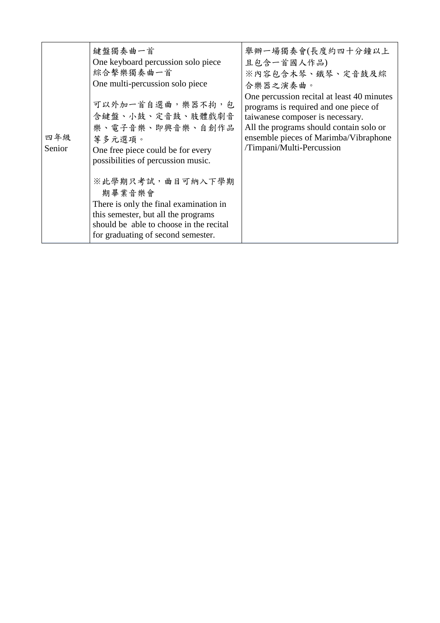| 四年級<br>Senior | 鍵盤獨奏曲一首<br>One keyboard percussion solo piece<br>綜合擊樂獨奏曲一首<br>One multi-percussion solo piece<br>可以外加一首自選曲,樂器不拘,包<br>含鍵盤、小鼓、定音鼓、肢體戲劇音<br>樂、電子音樂、即興音樂、自創作品<br>等多元選項。<br>One free piece could be for every<br>possibilities of percussion music.<br>※此學期只考試,曲目可納入下學期<br>期畢業音樂會<br>There is only the final examination in<br>this semester, but all the programs<br>should be able to choose in the recital<br>for graduating of second semester. | 舉辦一場獨奏會(長度約四十分鐘以上<br>且包含一首國人作品)<br>※內容包含木琴、鐵琴、定音鼓及綜<br>合樂器之演奏曲。<br>One percussion recital at least 40 minutes<br>programs is required and one piece of<br>taiwanese composer is necessary.<br>All the programs should contain solo or<br>ensemble pieces of Marimba/Vibraphone<br>/Timpani/Multi-Percussion |
|---------------|------------------------------------------------------------------------------------------------------------------------------------------------------------------------------------------------------------------------------------------------------------------------------------------------------------------------------------------------------------------------------------------------------------------------------------------------|-------------------------------------------------------------------------------------------------------------------------------------------------------------------------------------------------------------------------------------------------------------------------------------------------------------|
|---------------|------------------------------------------------------------------------------------------------------------------------------------------------------------------------------------------------------------------------------------------------------------------------------------------------------------------------------------------------------------------------------------------------------------------------------------------------|-------------------------------------------------------------------------------------------------------------------------------------------------------------------------------------------------------------------------------------------------------------------------------------------------------------|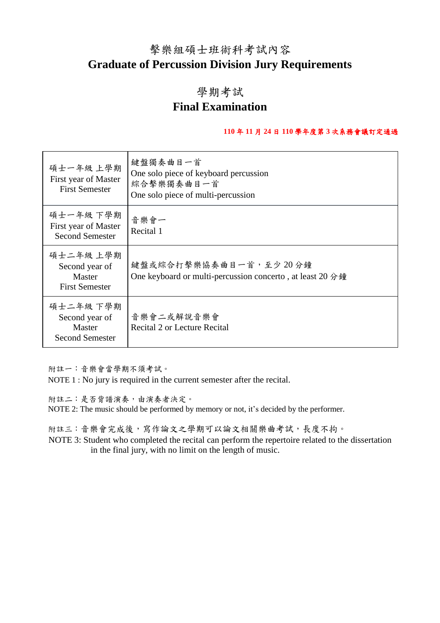## 擊樂組碩士班術科考試內容 **Graduate of Percussion Division Jury Requirements**

### 學期考試

## **Final Examination**

### **110** 年 **11** 月 **24** 日 **110** 學年度第 **3** 次系務會議訂定通過

| 碩士一年級 上學期<br>First year of Master<br><b>First Semester</b>      | 鍵盤獨奏曲目一首<br>One solo piece of keyboard percussion<br>綜合擊樂獨奏曲目一首<br>One solo piece of multi-percussion |
|-----------------------------------------------------------------|-------------------------------------------------------------------------------------------------------|
| 碩士一年級 下學期<br>First year of Master<br><b>Second Semester</b>     | 音樂會一<br>Recital 1                                                                                     |
| 碩士二年級 上學期<br>Second year of<br>Master<br><b>First Semester</b>  | 鍵盤或綜合打擊樂協奏曲目一首,至少20分鐘<br>One keyboard or multi-percussion concerto, at least 20 分鐘                    |
| 碩士二年級 下學期<br>Second year of<br>Master<br><b>Second Semester</b> | 音樂會二或解說音樂會<br>Recital 2 or Lecture Recital                                                            |

附註一:音樂會當學期不須考試。

NOTE 1 : No jury is required in the current semester after the recital.

附註二:是否背譜演奏,由演奏者決定。

NOTE 2: The music should be performed by memory or not, it's decided by the performer.

附註三:音樂會完成後,寫作論文之學期可以論文相關樂曲考試,長度不拘。

 NOTE 3: Student who completed the recital can perform the repertoire related to the dissertation in the final jury, with no limit on the length of music.